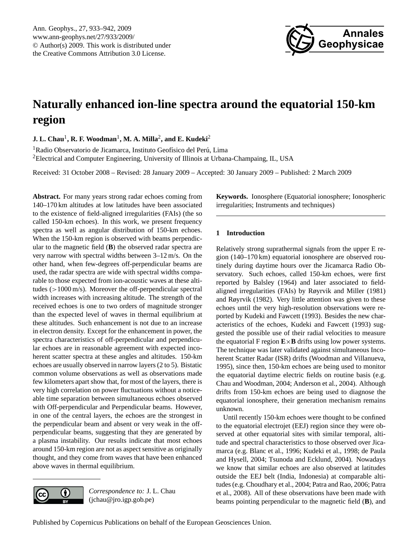

# <span id="page-0-0"></span>**Naturally enhanced ion-line spectra around the equatorial 150-km region**

 $\,$  **J.** L. Chau<sup>1</sup>, R. F. Woodman<sup>1</sup>, M. A. Milla<sup>2</sup>, and E. Kudeki<sup>2</sup>

<sup>1</sup>Radio Observatorio de Jicamarca, Instituto Geofísico del Perú, Lima <sup>2</sup>Electrical and Computer Engineering, University of Illinois at Urbana-Champaing, IL, USA

Received: 31 October 2008 – Revised: 28 January 2009 – Accepted: 30 January 2009 – Published: 2 March 2009

**Abstract.** For many years strong radar echoes coming from 140–170 km altitudes at low latitudes have been associated to the existence of field-aligned irregularities (FAIs) (the so called 150-km echoes). In this work, we present frequency spectra as well as angular distribution of 150-km echoes. When the 150-km region is observed with beams perpendicular to the magnetic field (**B**) the observed radar spectra are very narrow with spectral widths between 3–12 m/s. On the other hand, when few-degrees off-perpendicular beams are used, the radar spectra are wide with spectral widths comparable to those expected from ion-acoustic waves at these altitudes (>1000 m/s). Moreover the off-perpendicular spectral width increases with increasing altitude. The strength of the received echoes is one to two orders of magnitude stronger than the expected level of waves in thermal equilibrium at these altitudes. Such enhancement is not due to an increase in electron density. Except for the enhancement in power, the spectra characteristics of off-perpendicular and perpendicular echoes are in reasonable agreement with expected incoherent scatter spectra at these angles and altitudes. 150-km echoes are usually observed in narrow layers (2 to 5). Bistatic common volume observations as well as observations made few kilometers apart show that, for most of the layers, there is very high correlation on power fluctuations without a noticeable time separation between simultaneous echoes observed with Off-perpendicular and Perpendicular beams. However, in one of the central layers, the echoes are the strongest in the perpendicular beam and absent or very weak in the offperpendicular beams, suggesting that they are generated by a plasma instability. Our results indicate that most echoes around 150-km region are not as aspect sensitive as originally thought, and they come from waves that have been enhanced above waves in thermal equilibrium.



*Correspondence to:* J. L. Chau (jchau@jro.igp.gob.pe)

**Keywords.** Ionosphere (Equatorial ionosphere; Ionospheric irregularities; Instruments and techniques)

# **1 Introduction**

Relatively strong suprathermal signals from the upper E region (140–170 km) equatorial ionosphere are observed routinely during daytime hours over the Jicamarca Radio Observatory. Such echoes, called 150-km echoes, were first reported by [Balsley](#page-8-0) [\(1964\)](#page-8-0) and later associated to fieldaligned irregularities (FAIs) by [Røyrvik and Miller](#page-8-1) [\(1981\)](#page-8-1) and [Røyrvik](#page-8-2) [\(1982\)](#page-8-2). Very little attention was given to these echoes until the very high-resolution observations were reported by [Kudeki and Fawcett](#page-8-3) [\(1993\)](#page-8-3). Besides the new characteristics of the echoes, [Kudeki and Fawcett](#page-8-3) [\(1993\)](#page-8-3) suggested the possible use of their radial velocities to measure the equatorial F region  $\mathbf{E} \times \mathbf{B}$  drifts using low power systems. The technique was later validated against simultaneous Incoherent Scatter Radar (ISR) drifts [\(Woodman and Villanueva,](#page-9-0) [1995\)](#page-9-0), since then, 150-km echoes are being used to monitor the equatorial daytime electric fields on routine basis (e.g. [Chau and Woodman,](#page-8-4) [2004;](#page-8-4) [Anderson et al.,](#page-8-5) [2004\)](#page-8-5). Although drifts from 150-km echoes are being used to diagnose the equatorial ionosphere, their generation mechanism remains unknown.

Until recently 150-km echoes were thought to be confined to the equatorial electrojet (EEJ) region since they were observed at other equatorial sites with similar temporal, altitude and spectral characteristics to those observed over Jicamarca (e.g. [Blanc et al.,](#page-8-6) [1996;](#page-8-6) [Kudeki et al.,](#page-8-7) [1998;](#page-8-7) [de Paula](#page-8-8) [and Hysell,](#page-8-8) [2004;](#page-8-8) [Tsunoda and Ecklund,](#page-9-1) [2004\)](#page-9-1). Nowadays we know that similar echoes are also observed at latitudes outside the EEJ belt (India, Indonesia) at comparable altitudes (e.g. [Choudhary et al.,](#page-8-9) [2004;](#page-8-9) [Patra and Rao,](#page-8-10) [2006;](#page-8-10) [Patra](#page-8-11) [et al.,](#page-8-11) [2008\)](#page-8-11). All of these observations have been made with beams pointing perpendicular to the magnetic field (**B**), and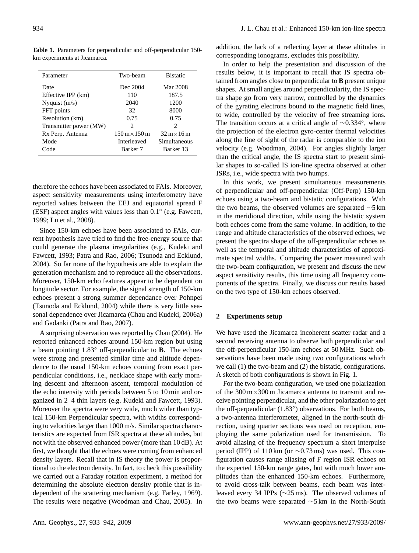<span id="page-1-0"></span>**Table 1.** Parameters for perpendicular and off-perpendicular 150 km experiments at Jicamarca.

| Parameter              | Two-beam                                   | <b>Bistatic</b>                    |
|------------------------|--------------------------------------------|------------------------------------|
| Date                   | Dec 2004                                   | Mar 2008                           |
| Effective IPP (km)     | 110                                        | 187.5                              |
| Nyquist $(m/s)$        | 2040                                       | 1200                               |
| FFT points             | 32                                         | 8000                               |
| Resolution (km)        | 0.75                                       | 0.75                               |
| Transmitter power (MW) | 2                                          | $\mathcal{D}_{\mathcal{L}}$        |
| Rx Perp. Antenna       | $150 \,\mathrm{m} \times 150 \,\mathrm{m}$ | $32 \text{ m} \times 16 \text{ m}$ |
| Mode                   | Interleaved                                | Simultaneous                       |
| Code                   | Barker <sub>7</sub>                        | Barker 13                          |

therefore the echoes have been associated to FAIs. Moreover, aspect sensitivity measurements using interferometry have reported values between the EEJ and equatorial spread F (ESF) aspect angles with values less than 0.1 ◦ (e.g. [Fawcett,](#page-8-12) [1999;](#page-8-12) [Lu et al.,](#page-8-13) [2008\)](#page-8-13).

Since 150-km echoes have been associated to FAIs, current hypothesis have tried to find the free-energy source that could generate the plasma irregularities (e.g., [Kudeki and](#page-8-3) [Fawcett,](#page-8-3) [1993;](#page-8-3) [Patra and Rao,](#page-8-10) [2006;](#page-8-10) [Tsunoda and Ecklund,](#page-9-1) [2004\)](#page-9-1). So far none of the hypothesis are able to explain the generation mechanism and to reproduce all the observations. Moreover, 150-km echo features appear to be dependent on longitude sector. For example, the signal strength of 150-km echoes present a strong summer dependance over Pohnpei [\(Tsunoda and Ecklund,](#page-9-1) [2004\)](#page-9-1) while there is very little seasonal dependence over Jicamarca [\(Chau and Kudeki,](#page-8-14) [2006a\)](#page-8-14) and Gadanki [\(Patra and Rao,](#page-8-15) [2007\)](#page-8-15).

A surprising observation was reported by [Chau](#page-8-16) [\(2004\)](#page-8-16). He reported enhanced echoes around 150-km region but using a beam pointing 1.83◦ off-perpendicular to **B**. The echoes were strong and presented similar time and altitude dependence to the usual 150-km echoes coming from exact perpendicular conditions, i.e., necklace shape with early morning descent and afternoon ascent, temporal modulation of the echo intensity with periods between 5 to 10 min and organized in 2–4 thin layers (e.g. [Kudeki and Fawcett,](#page-8-3) [1993\)](#page-8-3). Moreover the spectra were very wide, much wider than typical 150-km Perpendicular spectra, with widths corresponding to velocities larger than 1000 m/s. Similar spectra characteristics are expected from ISR spectra at these altitudes, but not with the observed enhanced power (more than 10 dB). At first, we thought that the echoes were coming from enhanced density layers. Recall that in IS theory the power is proportional to the electron density. In fact, to check this possibility we carried out a Faraday rotation experiment, a method for determining the absolute electron density profile that is independent of the scattering mechanism (e.g. [Farley,](#page-8-17) [1969\)](#page-8-17). The results were negative [\(Woodman and Chau,](#page-9-2) [2005\)](#page-9-2). In addition, the lack of a reflecting layer at these altitudes in corresponding ionograms, excludes this possibility.

In order to help the presentation and discussion of the results below, it is important to recall that IS spectra obtained from angles close to perpendicular to **B** present unique shapes. At small angles around perpendicularity, the IS spectra shape go from very narrow, controlled by the dynamics of the gyrating electrons bound to the magnetic field lines, to wide, controlled by the velocity of free streaming ions. The transition occurs at a critical angle of ∼0.334◦ , where the projection of the electron gyro-center thermal velocities along the line of sight of the radar is comparable to the ion velocity (e.g. [Woodman,](#page-9-3) [2004\)](#page-9-3). For angles slightly larger than the critical angle, the IS spectra start to present similar shapes to so-called IS ion-line spectra observed at other ISRs, i.e., wide spectra with two humps.

In this work, we present simultaneous measurements of perpendicular and off-perpendicular (Off-Perp) 150-km echoes using a two-beam and bistatic configurations. With the two beams, the observed volumes are separated ∼5 km in the meridional direction, while using the bistatic system both echoes come from the same volume. In addition, to the range and altitude characteristics of the observed echoes, we present the spectra shape of the off-perpendicular echoes as well as the temporal and altitude characteristics of approximate spectral widths. Comparing the power measured with the two-beam configuration, we present and discuss the new aspect sensitivity results, this time using all frequency components of the spectra. Finally, we discuss our results based on the two type of 150-km echoes observed.

## **2 Experiments setup**

We have used the Jicamarca incoherent scatter radar and a second receiving antenna to observe both perpendicular and the off-perpendicular 150-km echoes at 50 MHz. Such observations have been made using two configurations which we call (1) the two-beam and (2) the bistatic, configurations. A sketch of both configurations is shown in Fig. [1.](#page-2-0)

For the two-beam configuration, we used one polarization of the  $300 \text{ m} \times 300 \text{ m}$  Jicamarca antenna to transmit and receive pointing perpendicular, and the other polarization to get the off-perpendicular (1.83°) observations. For both beams, a two-antenna interferometer, aligned in the north-south direction, using quarter sections was used on reception, employing the same polarization used for transmission. To avoid aliasing of the frequency spectrum a short interpulse period (IPP) of 110 km (or  $\sim$ 0.73 ms) was used. This configuration causes range aliasing of F region ISR echoes on the expected 150-km range gates, but with much lower amplitudes than the enhanced 150-km echoes. Furthermore, to avoid cross-talk between beams, each beam was interleaved every 34 IPPs (∼25 ms). The observed volumes of the two beams were separated ∼5 km in the North-South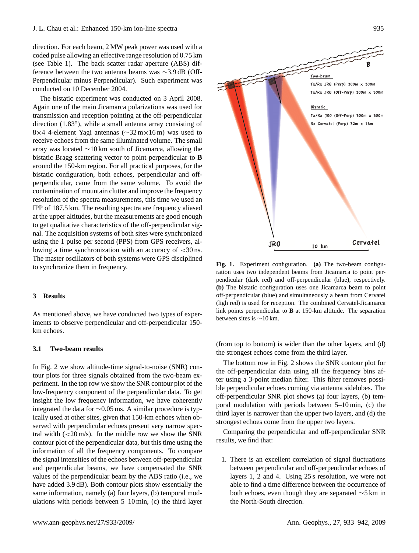direction. For each beam, 2 MW peak power was used with a coded pulse allowing an effective range resolution of 0.75 km (see Table [1\)](#page-1-0). The back scatter radar aperture (ABS) difference between the two antenna beams was ∼3.9 dB (Off-Perpendicular minus Perpendicular). Such experiment was conducted on 10 December 2004.

The bistatic experiment was conducted on 3 April 2008. Again one of the main Jicamarca polarizations was used for transmission and reception pointing at the off-perpendicular direction (1.83◦ ), while a small antenna array consisting of 8×4 4-element Yagi antennas (∼32 m×16 m) was used to receive echoes from the same illuminated volume. The small array was located ∼10 km south of Jicamarca, allowing the bistatic Bragg scattering vector to point perpendicular to **B** around the 150-km region. For all practical purposes, for the bistatic configuration, both echoes, perpendicular and offperpendicular, came from the same volume. To avoid the contamination of mountain clutter and improve the frequency resolution of the spectra measurements, this time we used an IPP of 187.5 km. The resulting spectra are frequency aliased at the upper altitudes, but the measurements are good enough to get qualitative characteristics of the off-perpendicular signal. The acquisition systems of both sites were synchronized using the 1 pulse per second (PPS) from GPS receivers, allowing a time synchronization with an accuracy of <30 ns. The master oscillators of both systems were GPS disciplined to synchronize them in frequency.

# **3 Results**

As mentioned above, we have conducted two types of experiments to observe perpendicular and off-perpendicular 150 km echoes.

#### **3.1 Two-beam results**

In Fig. [2](#page-3-0) we show altitude-time signal-to-noise (SNR) contour plots for three signals obtained from the two-beam experiment. In the top row we show the SNR contour plot of the low-frequency component of the perpendicular data. To get insight the low frequency information, we have coherently integrated the data for ∼0.05 ms. A similar procedure is typically used at other sites, given that 150-km echoes when observed with perpendicular echoes present very narrow spectral width  $\left( \frac{20 \text{ m/s}}{s} \right)$ . In the middle row we show the SNR contour plot of the perpendicular data, but this time using the information of all the frequency components. To compare the signal intensities of the echoes between off-perpendicular and perpendicular beams, we have compensated the SNR values of the perpendicular beam by the ABS ratio (i.e., we have added 3.9 dB). Both contour plots show essentially the same information, namely (a) four layers, (b) temporal modulations with periods between 5–10 min, (c) the third layer



<span id="page-2-0"></span>**Fig. 1.** Experiment configuration. **(a)** The two-beam configuration uses two independent beams from Jicamarca to point perpendicular (dark red) and off-perpendicular (blue), respectively. **(b)** The bistatic configuration uses one Jicamarca beam to point off-perpendicular (blue) and simultaneously a beam from Cervatel (ligh red) is used for reception. The combined Cervatel-Jicamarca link points perpendicular to **B** at 150-km altitude. The separation between sites is ∼10 km.

(from top to bottom) is wider than the other layers, and (d) the strongest echoes come from the third layer.

The bottom row in Fig. [2](#page-3-0) shows the SNR contour plot for the off-perpendicular data using all the frequency bins after using a 3-point median filter. This filter removes possible perpendicular echoes coming via antenna sidelobes. The off-perpendicular SNR plot shows (a) four layers, (b) temporal modulation with periods between 5–10 min, (c) the third layer is narrower than the upper two layers, and (d) the strongest echoes come from the upper two layers.

Comparing the perpendicular and off-perpendicular SNR results, we find that:

1. There is an excellent correlation of signal fluctuations between perpendicular and off-perpendicular echoes of layers 1, 2 and 4. Using 25 s resolution, we were not able to find a time difference between the occurrence of both echoes, even though they are separated ∼5 km in the North-South direction.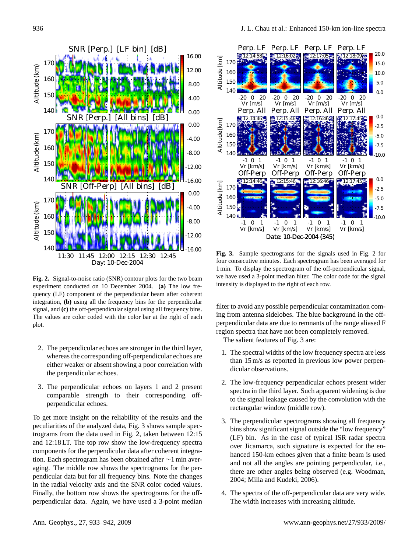

<span id="page-3-0"></span>**Fig. 2.** Signal-to-noise ratio (SNR) contour plots for the two beam experiment conducted on 10 December 2004. **(a)** The low frequency (LF) component of the perpendicular beam after coherent integration, **(b)** using all the frequency bins for the perpendicular signal, and **(c)** the off-perpendicular signal using all frequency bins. The values are color coded with the color bar at the right of each plot.

- 2. The perpendicular echoes are stronger in the third layer, whereas the corresponding off-perpendicular echoes are either weaker or absent showing a poor correlation with the perpendicular echoes.
- 3. The perpendicular echoes on layers 1 and 2 present comparable strength to their corresponding offperpendicular echoes.

To get more insight on the reliability of the results and the peculiarities of the analyzed data, Fig. [3](#page-3-1) shows sample spectrograms from the data used in Fig. [2,](#page-3-0) taken between 12:15 and 12:18 LT. The top row show the low-frequency spectra components for the perpendicular data after coherent integration. Each spectrogram has been obtained after ∼1 min averaging. The middle row shows the spectrograms for the perpendicular data but for all frequency bins. Note the changes in the radial velocity axis and the SNR color coded values. Finally, the bottom row shows the spectrograms for the offperpendicular data. Again, we have used a 3-point median



<span id="page-3-1"></span>**Fig. 3.** Sample spectrograms for the signals used in Fig. [2](#page-3-0) for four consecutive minutes. Each spectrogram has been averaged for 1 min. To display the spectrogram of the off-perpendicular signal, we have used a 3-point median filter. The color code for the signal intensity is displayed to the right of each row.

filter to avoid any possible perpendicular contamination coming from antenna sidelobes. The blue background in the offperpendicular data are due to remnants of the range aliased F region spectra that have not been completely removed.

The salient features of Fig. [3](#page-3-1) are:

- 1. The spectral widths of the low frequency spectra are less than 15 m/s as reported in previous low power perpendicular observations.
- 2. The low-frequency perpendicular echoes present wider spectra in the third layer. Such apparent widening is due to the signal leakage caused by the convolution with the rectangular window (middle row).
- 3. The perpendicular spectrograms showing all frequency bins show significant signal outside the "low frequency" (LF) bin. As in the case of typical ISR radar spectra over Jicamarca, such signature is expected for the enhanced 150-km echoes given that a finite beam is used and not all the angles are pointing perpendicular, i.e., there are other angles being observed (e.g. [Woodman,](#page-9-3) [2004;](#page-9-3) [Milla and Kudeki,](#page-8-18) [2006\)](#page-8-18).
- 4. The spectra of the off-perpendicular data are very wide. The width increases with increasing altitude.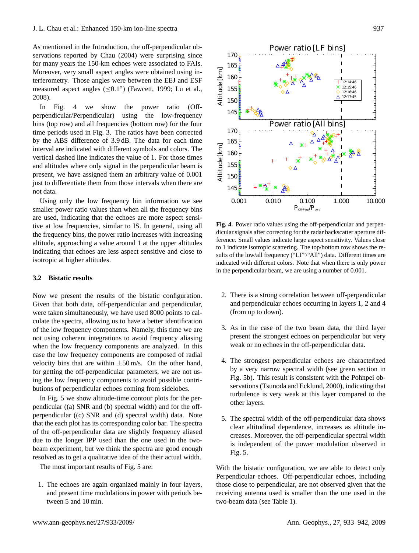As mentioned in the Introduction, the off-perpendicular observations reported by [Chau](#page-8-16) [\(2004\)](#page-8-16) were surprising since for many years the 150-km echoes were associated to FAIs. Moreover, very small aspect angles were obtained using interferometry. Those angles were between the EEJ and ESF measured aspect angles (≤0.1 ◦ ) [\(Fawcett,](#page-8-12) [1999;](#page-8-12) [Lu et al.,](#page-8-13) [2008\)](#page-8-13).

In Fig. [4](#page-4-0) we show the power ratio (Offperpendicular/Perpendicular) using the low-frequency bins (top row) and all frequencies (bottom row) for the four time periods used in Fig. [3.](#page-3-1) The ratios have been corrected by the ABS difference of 3.9 dB. The data for each time interval are indicated with different symbols and colors. The vertical dashed line indicates the value of 1. For those times and altitudes where only signal in the perpendicular beam is present, we have assigned them an arbitrary value of 0.001 just to differentiate them from those intervals when there are not data.

Using only the low frequency bin information we see smaller power ratio values than when all the frequency bins are used, indicating that the echoes are more aspect sensitive at low frequencies, similar to IS. In general, using all the frequency bins, the power ratio increases with increasing altitude, approaching a value around 1 at the upper altitudes indicating that echoes are less aspect sensitive and close to isotropic at higher altitudes.

#### **3.2 Bistatic results**

Now we present the results of the bistatic configuration. Given that both data, off-perpendicular and perpendicular, were taken simultaneously, we have used 8000 points to calculate the spectra, allowing us to have a better identification of the low frequency components. Namely, this time we are not using coherent integrations to avoid frequency aliasing when the low frequency components are analyzed. In this case the low frequency components are composed of radial velocity bins that are within  $\pm 50$  m/s. On the other hand, for getting the off-perpendicular parameters, we are not using the low frequency components to avoid possible contributions of perpendicular echoes coming from sidelobes.

In Fig. [5](#page-5-0) we show altitude-time contour plots for the perpendicular ((a) SNR and (b) spectral width) and for the offperpendicular ((c) SNR and (d) spectral width) data. Note that the each plot has its corresponding color bar. The spectra of the off-perpendicular data are slightly frequency aliased due to the longer IPP used than the one used in the twobeam experiment, but we think the spectra are good enough resolved as to get a qualitative idea of the their actual width.

The most important results of Fig. [5](#page-5-0) are:

1. The echoes are again organized mainly in four layers, and present time modulations in power with periods between 5 and 10 min.



Altitude [km]

Altitude [km]

Altitude [km]

**Mtitude** [km]

**Fig. 4.** Power ratio values using the off-perpendicular and perpendicular signals after correcting for the radar backscatter aperture difference. Small values indicate large aspect sensitivity. Values close to 1 indicate isotropic scattering. The top/bottom row shows the results of the low/all frequency ("LF"/"All") data. Different times are indicated with different colors. Note that when there is only power in the perpendicular beam, we are using a number of 0.001.

<span id="page-4-0"></span>0.001 0.010 0.100 1.000 10.000  $\mathbf{P}_{\text{Off-Perp}}/\mathbf{P}_{\text{perp}}$ 

- 2. There is a strong correlation between off-perpendicular and perpendicular echoes occurring in layers 1, 2 and 4 (from up to down).
- 3. As in the case of the two beam data, the third layer present the strongest echoes on perpendicular but very weak or no echoes in the off-perpendicular data.
- 4. The strongest perpendicular echoes are characterized by a very narrow spectral width (see green section in Fig. [5b](#page-5-0)). This result is consistent with the Pohnpei observations [\(Tsunoda and Ecklund,](#page-9-4) [2000\)](#page-9-4), indicating that turbulence is very weak at this layer compared to the other layers.
- 5. The spectral width of the off-perpendicular data shows clear altitudinal dependence, increases as altitude increases. Moreover, the off-perpendicular spectral width is independent of the power modulation observed in Fig. [5.](#page-5-0)

With the bistatic configuration, we are able to detect only Perpendicular echoes. Off-perpendicular echoes, including those close to perpendicular, are not observed given that the receiving antenna used is smaller than the one used in the two-beam data (see Table [1\)](#page-1-0).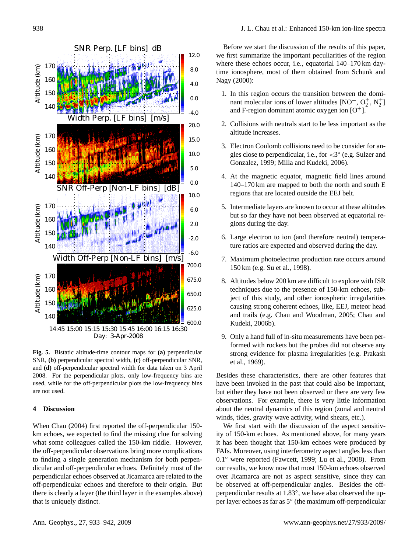- 1. In this region occurs the transition between the dominant molecular ions of lower altitudes  $[NO^+, O_2^+, N_2^+]$ and F-region dominant atomic oxygen ion  $[O^+]$ .
- 2. Collisions with neutrals start to be less important as the altitude increases.
- 3. Electron Coulomb collisions need to be consider for angles close to perpendicular, i.e., for <3 ◦ (e.g. [Sulzer and](#page-9-6) [Gonzalez,](#page-9-6) [1999;](#page-9-6) [Milla and Kudeki,](#page-8-18) [2006\)](#page-8-18).
- 4. At the magnetic equator, magnetic field lines around 140–170 km are mapped to both the north and south E regions that are located outside the EEJ belt.
- 5. Intermediate layers are known to occur at these altitudes but so far they have not been observed at equatorial regions during the day.
- 6. Large electron to ion (and therefore neutral) temperature ratios are expected and observed during the day.
- 7. Maximum photoelectron production rate occurs around 150 km (e.g. [Su et al.,](#page-9-7) [1998\)](#page-9-7).
- 8. Altitudes below 200 km are difficult to explore with ISR techniques due to the presence of 150-km echoes, subject of this study, and other ionospheric irregularities causing strong coherent echoes, like, EEJ, meteor head and trails (e.g. [Chau and Woodman,](#page-8-19) [2005;](#page-8-19) [Chau and](#page-8-20) [Kudeki,](#page-8-20) [2006b\)](#page-8-20).
- 9. Only a hand full of in-situ measurements have been performed with rockets but the probes did not observe any strong evidence for plasma irregularities (e.g. [Prakash](#page-8-21) [et al.,](#page-8-21) [1969\)](#page-8-21).

Besides these characteristics, there are other features that have been invoked in the past that could also be important, but either they have not been observed or there are very few observations. For example, there is very little information about the neutral dynamics of this region (zonal and neutral winds, tides, gravity wave activity, wind shears, etc.).

We first start with the discussion of the aspect sensitivity of 150-km echoes. As mentioned above, for many years it has been thought that 150-km echoes were produced by FAIs. Moreover, using interferometry aspect angles less than 0.1 ◦ were reported [\(Fawcett,](#page-8-12) [1999;](#page-8-12) [Lu et al.,](#page-8-13) [2008\)](#page-8-13). From our results, we know now that most 150-km echoes observed over Jicamarca are not as aspect sensitive, since they can be observed at off-perpendicular angles. Besides the offperpendicular results at 1.83°, we have also observed the upper layer echoes as far as 5◦ (the maximum off-perpendicular

<span id="page-5-0"></span>**Fig. 5.** Bistatic altitude-time contour maps for **(a)** perpendicular SNR, **(b)** perpendicular spectral width, **(c)** off-perpendicular SNR, and **(d)** off-perpendicular spectral width for data taken on 3 April 2008. For the perpendicular plots, only low-frequency bins are used, while for the off-perpendicular plots the low-frequency bins are not used.

### **4 Discussion**

When [Chau](#page-8-16) [\(2004\)](#page-8-16) first reported the off-perpendicular 150 km echoes, we expected to find the missing clue for solving what some colleagues called the 150-km riddle. However, the off-perpendicular observations bring more complications to finding a single generation mechanism for both perpendicular and off-perpendicular echoes. Definitely most of the perpendicular echoes observed at Jicamarca are related to the off-perpendicular echoes and therefore to their origin. But there is clearly a layer (the third layer in the examples above) that is uniquely distinct.

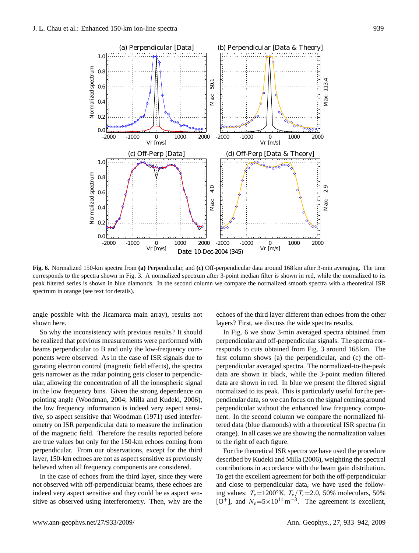

<span id="page-6-0"></span>**Fig. 6.** Normalized 150-km spectra from **(a)** Perpendicular, and **(c)** Off-perpendicular data around 168 km after 3-min averaging. The time corresponds to the spectra shown in Fig. [3.](#page-3-1) A normalized spectrum after 3-point median filter is shown in red, while the normalized to its peak filtered series is shown in blue diamonds. In the second column we compare the normalized smooth spectra with a theoretical ISR spectrum in orange (see text for details).

angle possible with the Jicamarca main array), results not shown here.

So why the inconsistency with previous results? It should be realized that previous measurements were performed with beams perpendicular to B and only the low-frequency components were observed. As in the case of ISR signals due to gyrating electron control (magnetic field effects), the spectra gets narrower as the radar pointing gets closer to perpendicular, allowing the concentration of all the ionospheric signal in the low frequency bins. Given the strong dependence on pointing angle [\(Woodman,](#page-9-3) [2004;](#page-9-3) [Milla and Kudeki,](#page-8-18) [2006\)](#page-8-18), the low frequency information is indeed very aspect sensitive, so aspect sensitive that [Woodman](#page-9-8) [\(1971\)](#page-9-8) used interferometry on ISR perpendicular data to measure the inclination of the magnetic field. Therefore the results reported before are true values but only for the 150-km echoes coming from perpendicular. From our observations, except for the third layer, 150-km echoes are not as aspect sensitive as previously believed when all frequency components are considered.

In the case of echoes from the third layer, since they were not observed with off-perpendicular beams, these echoes are indeed very aspect sensitive and they could be as aspect sensitive as observed using interferometry. Then, why are the echoes of the third layer different than echoes from the other layers? First, we discuss the wide spectra results.

In Fig. [6](#page-6-0) we show 3-min averaged spectra obtained from perpendicular and off-perpendicular signals. The spectra corresponds to cuts obtained from Fig. [3](#page-3-1) around 168 km. The first column shows (a) the perpendicular, and (c) the offperpendicular averaged spectra. The normalized-to-the-peak data are shown in black, while the 3-point median filtered data are shown in red. In blue we present the filtered signal normalized to its peak. This is particularly useful for the perpendicular data, so we can focus on the signal coming around perpendicular without the enhanced low frequency component. In the second column we compare the normalized filtered data (blue diamonds) with a theoretical ISR spectra (in orange). In all cases we are showing the normalization values to the right of each figure.

For the theoretical ISR spectra we have used the procedure described by [Kudeki and Milla](#page-8-22) [\(2006\)](#page-8-22), weighting the spectral contributions in accordance with the beam gain distribution. To get the excellent agreement for both the off-perpendicular and close to perpendicular data, we have used the following values:  $T_e=1200\text{°K}$ ,  $T_e/T_i=2.0$ , 50% moleculars, 50% [O<sup>+</sup>], and  $N_e = 5 \times 10^{11} \text{ m}^{-3}$ . The agreement is excellent,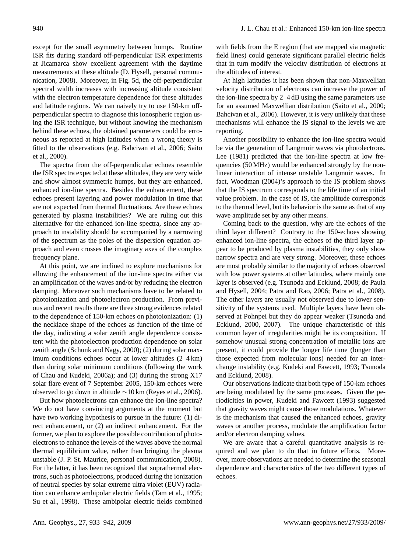except for the small asymmetry between humps. Routine ISR fits during standard off-perpendicular ISR experiments at Jicamarca show excellent agreement with the daytime measurements at these altitude (D. Hysell, personal communication, 2008). Moreover, in Fig. [5d](#page-5-0), the off-perpendicular spectral width increases with increasing altitude consistent with the electron temperature dependence for these altitudes and latitude regions. We can naively try to use 150-km offperpendicular spectra to diagnose this ionospheric region using the ISR technique, but without knowing the mechanism behind these echoes, the obtained parameters could be erroneous as reported at high latitudes when a wrong theory is fitted to the observations (e.g. [Bahcivan et al.,](#page-8-23) [2006;](#page-8-23) [Saito](#page-9-9) [et al.,](#page-9-9) [2000\)](#page-9-9).

The spectra from the off-perpendicular echoes resemble the ISR spectra expected at these altitudes, they are very wide and show almost symmetric humps, but they are enhanced, enhanced ion-line spectra. Besides the enhancement, these echoes present layering and power modulation in time that are not expected from thermal fluctuations. Are these echoes generated by plasma instabilities? We are ruling out this alternative for the enhanced ion-line spectra, since any approach to instability should be accompanied by a narrowing of the spectrum as the poles of the dispersion equation approach and even crosses the imaginary axes of the complex frequency plane.

At this point, we are inclined to explore mechanisms for allowing the enhancement of the ion-line spectra either via an amplification of the waves and/or by reducing the electron damping. Moreover such mechanisms have to be related to photoionization and photoelectron production. From previous and recent results there are three strong evidences related to the dependence of 150-km echoes on photoionization: (1) the necklace shape of the echoes as function of the time of the day, indicating a solar zenith angle dependence consistent with the photoelectron production dependence on solar zenith angle [\(Schunk and Nagy,](#page-9-5) [2000\)](#page-9-5); (2) during solar maximum conditions echoes occur at lower altitudes (2–4 km) than during solar minimum conditions (following the work of [Chau and Kudeki,](#page-8-14) [2006a\)](#page-8-14); and (3) during the strong X17 solar flare event of 7 September 2005, 150-km echoes were observed to go down in altitude  $\sim$ 10 km [\(Reyes et al.,](#page-8-24) [2006\)](#page-8-24).

But how photoelectrons can enhance the ion-line spectra? We do not have convincing arguments at the moment but have two working hypothesis to pursue in the future: (1) direct enhancement, or (2) an indirect enhancement. For the former, we plan to explore the possible contribution of photoelectrons to enhance the levels of the waves above the normal thermal equilibrium value, rather than bringing the plasma unstable (J. P. St. Maurice, personal communication, 2008). For the latter, it has been recognized that suprathermal electrons, such as photoelectrons, produced during the ionization of neutral species by solar extreme ultra violet (EUV) radiation can enhance ambipolar electric fields [\(Tam et al.,](#page-9-10) [1995;](#page-9-10) [Su et al.,](#page-9-7) [1998\)](#page-9-7). These ambipolar electric fields combined

with fields from the E region (that are mapped via magnetic field lines) could generate significant parallel electric fields that in turn modify the velocity distribution of electrons at the altitudes of interest.

At high latitudes it has been shown that non-Maxwellian velocity distribution of electrons can increase the power of the ion-line spectra by 2–4 dB using the same parameters use for an assumed Maxwellian distribution [\(Saito et al.,](#page-9-9) [2000;](#page-9-9) [Bahcivan et al.,](#page-8-23) [2006\)](#page-8-23). However, it is very unlikely that these mechanisms will enhance the IS signal to the levels we are reporting.

Another possibility to enhance the ion-line spectra would be via the generation of Langmuir waves via photolectrons. [Lee](#page-8-25) [\(1981\)](#page-8-25) predicted that the ion-line spectra at low frequencies (50 MHz) would be enhanced strongly by the nonlinear interaction of intense unstable Langmuir waves. In fact, [Woodman](#page-9-3) [\(2004\)](#page-9-3)'s approach to the IS problem shows that the IS spectrum corresponds to the life time of an initial value problem. In the case of IS, the amplitude corresponds to the thermal level, but its behavior is the same as that of any wave amplitude set by any other means.

Coming back to the question, why are the echoes of the third layer different? Contrary to the 150-echoes showing enhanced ion-line spectra, the echoes of the third layer appear to be produced by plasma instabilities, they only show narrow spectra and are very strong. Moreover, these echoes are most probably similar to the majority of echoes observed with low power systems at other latitudes, where mainly one layer is observed (e.g. [Tsunoda and Ecklund,](#page-9-11) [2008;](#page-9-11) [de Paula](#page-8-8) [and Hysell,](#page-8-8) [2004;](#page-8-8) [Patra and Rao,](#page-8-10) [2006;](#page-8-10) [Patra et al.,](#page-8-11) [2008\)](#page-8-11). The other layers are usually not observed due to lower sensitivity of the systems used. Multiple layers have been observed at Pohnpei but they do appear weaker [\(Tsunoda and](#page-9-4) [Ecklund,](#page-9-4) [2000,](#page-9-4) [2007\)](#page-9-12). The unique characteristic of this common layer of irregularities might be its composition. If somehow unusual strong concentration of metallic ions are present, it could provide the longer life time (longer than those expected from molecular ions) needed for an interchange instability (e.g. [Kudeki and Fawcett,](#page-8-3) [1993;](#page-8-3) [Tsunoda](#page-9-11) [and Ecklund,](#page-9-11) [2008\)](#page-9-11).

Our observations indicate that both type of 150-km echoes are being modulated by the same processes. Given the periodicities in power, [Kudeki and Fawcett](#page-8-3) [\(1993\)](#page-8-3) suggested that gravity waves might cause those modulations. Whatever is the mechanism that caused the enhanced echoes, gravity waves or another process, modulate the amplification factor and/or electron damping values.

We are aware that a careful quantitative analysis is required and we plan to do that in future efforts. Moreover, more observations are needed to determine the seasonal dependence and characteristics of the two different types of echoes.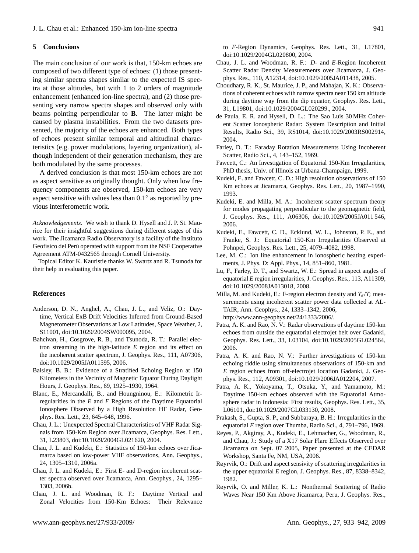#### **5 Conclusions**

The main conclusion of our work is that, 150-km echoes are composed of two different type of echoes: (1) those presenting similar spectra shapes similar to the expected IS spectra at those altitudes, but with 1 to 2 orders of magnitude enhancement (enhanced ion-line spectra), and (2) those presenting very narrow spectra shapes and observed only with beams pointing perpendicular to **B**. The latter might be caused by plasma instabilities. From the two datasets presented, the majority of the echoes are enhanced. Both types of echoes present similar temporal and altitudinal characteristics (e.g. power modulations, layering organization), although independent of their generation mechanism, they are both modulated by the same processes.

A derived conclusion is that most 150-km echoes are not as aspect sensitive as originally thought. Only when low frequency components are observed, 150-km echoes are very aspect sensitive with values less than  $0.1^{\circ}$  as reported by previous interferometric work.

*Acknowledgements.* We wish to thank D. Hysell and J. P. St. Maurice for their insightful suggestions during different stages of this work. The Jicamarca Radio Observatory is a facility of the Instituto Geofísico del Perú operated with support from the NSF Cooperative Agreement ATM-0432565 through Cornell University.

Topical Editor K. Kauristie thanks W. Swartz and R. Tsunoda for their help in evaluating this paper.

#### **References**

- <span id="page-8-5"></span>Anderson, D. N., Anghel, A., Chau, J. L., and Veliz, O.: Daytime, Vertical ExB Drift Velocities Inferred from Ground-Based Magnetometer Observations at Low Latitudes, Space Weather, 2, S11001, doi:10.1029/2004SW000095, 2004.
- <span id="page-8-23"></span>Bahcivan, H., Cosgrove, R. B., and Tsunoda, R. T.: Parallel electron streaming in the high-latitude *E* region and its effect on the incoherent scatter spectrum, J. Geophys. Res., 111, A07306, doi:10.1029/2005JA011595, 2006.
- <span id="page-8-0"></span>Balsley, B. B.: Evidence of a Stratified Echoing Region at 150 Kilometers in the Vecinity of Magnetic Equator During Daylight Hours, J. Geophys. Res., 69, 1925–1930, 1964.
- <span id="page-8-6"></span>Blanc, E., Mercandalli, B., and Houngninou, E.: Kilometric Irregularities in the *E* and *F* Regions of the Daytime Equatorial Ionosphere Observed by a High Resolution HF Radar, Geophys. Res. Lett., 23, 645–648, 1996.
- <span id="page-8-16"></span>Chau, J. L.: Unexpected Spectral Characteristics of VHF Radar Signals from 150-Km Region over Jicamarca, Geophys. Res. Lett., 31, L23803, doi:10.1029/2004GL021620, 2004.
- <span id="page-8-14"></span>Chau, J. L. and Kudeki, E.: Statistics of 150-km echoes over Jicamarca based on low-power VHF observations, Ann. Geophys., 24, 1305–1310, 2006a.
- <span id="page-8-20"></span>Chau, J. L. and Kudeki, E.: First E- and D-region incoherent scatter spectra observed over Jicamarca, Ann. Geophys., 24, 1295– 1303, 2006b.
- <span id="page-8-4"></span>Chau, J. L. and Woodman, R. F.: Daytime Vertical and Zonal Velocities from 150-Km Echoes: Their Relevance

to *F*-Region Dynamics, Geophys. Res. Lett., 31, L17801, doi:10.1029/2004GL020800, 2004.

- <span id="page-8-19"></span>Chau, J. L. and Woodman, R. F.: *D*- and *E*-Region Incoherent Scatter Radar Density Measurements over Jicamarca, J. Geophys. Res., 110, A12314, doi:10.1029/2005JA011438, 2005.
- <span id="page-8-9"></span>Choudhary, R. K., St. Maurice, J. P., and Mahajan, K. K.: Observations of coherent echoes with narrow spectra near 150 km altitude during daytime way from the dip equator, Geophys. Res. Lett., 31, L19801, doi:10.1029/2004GL020299., 2004.
- <span id="page-8-8"></span>de Paula, E. R. and Hysell, D. L.: The Sao Luis 30 MHz Coherent Scatter Ionospheric Radar: System Description and Initial Results, Radio Sci., 39, RS1014, doi:10.1029/2003RS002914, 2004.
- <span id="page-8-17"></span>Farley, D. T.: Faraday Rotation Measurements Using Incoherent Scatter, Radio Sci., 4, 143–152, 1969.
- <span id="page-8-12"></span>Fawcett, C.: An Investigation of Equatorial 150-Km Irregularities, PhD thesis, Univ. of Illinois at Urbana-Champaign, 1999.
- <span id="page-8-3"></span>Kudeki, E. and Fawcett, C. D.: High resolution observations of 150 Km echoes at Jicamarca, Geophys. Res. Lett., 20, 1987–1990, 1993.
- <span id="page-8-22"></span>Kudeki, E. and Milla, M. A.: Incoherent scatter spectrum theory for modes propagating perpendicular to the geomagnetic field, J. Geophys. Res., 111, A06306, doi:10.1029/2005JA011 546, 2006.
- <span id="page-8-7"></span>Kudeki, E., Fawcett, C. D., Ecklund, W. L., Johnston, P. E., and Franke, S. J.: Equatorial 150-Km Irregularities Observed at Pohnpei, Geophys. Res. Lett., 25, 4079–4082, 1998.
- <span id="page-8-25"></span>Lee, M. C.: Ion line enhancement in ionospheric heating experiments, J. Phys. D: Appl. Phys., 14, 851–860, 1981.
- <span id="page-8-13"></span>Lu, F., Farley, D. T., and Swartz, W. E.: Spread in aspect angles of equatorial *E* region irregularities, J. Geophys. Res., 113, A11309, doi:10.1029/2008JA013018, 2008.
- <span id="page-8-18"></span>Milla, M. and Kudeki, E.: F-region electron density and  $T_e/T_i$  measurements using incoherent scatter power data collected at AL-TAIR, Ann. Geophys., 24, 1333–1342, 2006, [http://www.ann-geophys.net/24/1333/2006/.](http://www.ann-geophys.net/24/1333/2006/)
- <span id="page-8-10"></span>Patra, A. K. and Rao, N. V.: Radar observations of daytime 150-km echoes from outside the equatorial electrojet belt over Gadanki, Geophys. Res. Lett., 33, L03104, doi:10.1029/2005GL024564, 2006.
- <span id="page-8-15"></span>Patra, A. K. and Rao, N. V.: Further investigations of 150-km echoing riddle using simultaneous observations of 150-km and *E* region echoes from off-electrojet location Gadanki, J. Geophys. Res., 112, A09301, doi:10.1029/2006JA012204, 2007.
- <span id="page-8-11"></span>Patra, A. K., Yokoyama, T., Otsuka, Y., and Yamamoto, M.: Daytime 150-km echoes observed with the Equatorial Atmosphere radar in Indonesia: First results, Geophys. Res. Lett., 35, L06101, doi:10.1029/2007GL033130, 2008.
- <span id="page-8-21"></span>Prakash, S., Gupta, S. P., and Subbaraya, B. H.: Irregularities in the equatorial *E* region over Thumba, Radio Sci., 4, 791–796, 1969.
- <span id="page-8-24"></span>Reyes, P., Akgiray, A., Kudeki, E., Lehmacher, G., Woodman, R., and Chau, J.: Study of a X17 Solar Flare Effects Observed over Jicamarca on Sept. 07 2005, Paper presented at the CEDAR Workshop, Santa Fe, NM, USA, 2006.
- <span id="page-8-2"></span>Røyrvik, O.: Drift and aspect sensivity of scattering irregularities in the upper equatorial *E* region, J. Geophys. Res., 87, 8338–8342, 1982.
- <span id="page-8-1"></span>Røyrvik, O. and Miller, K. L.: Nonthermal Scattering of Radio Waves Near 150 Km Above Jicamarca, Peru, J. Geophys. Res.,